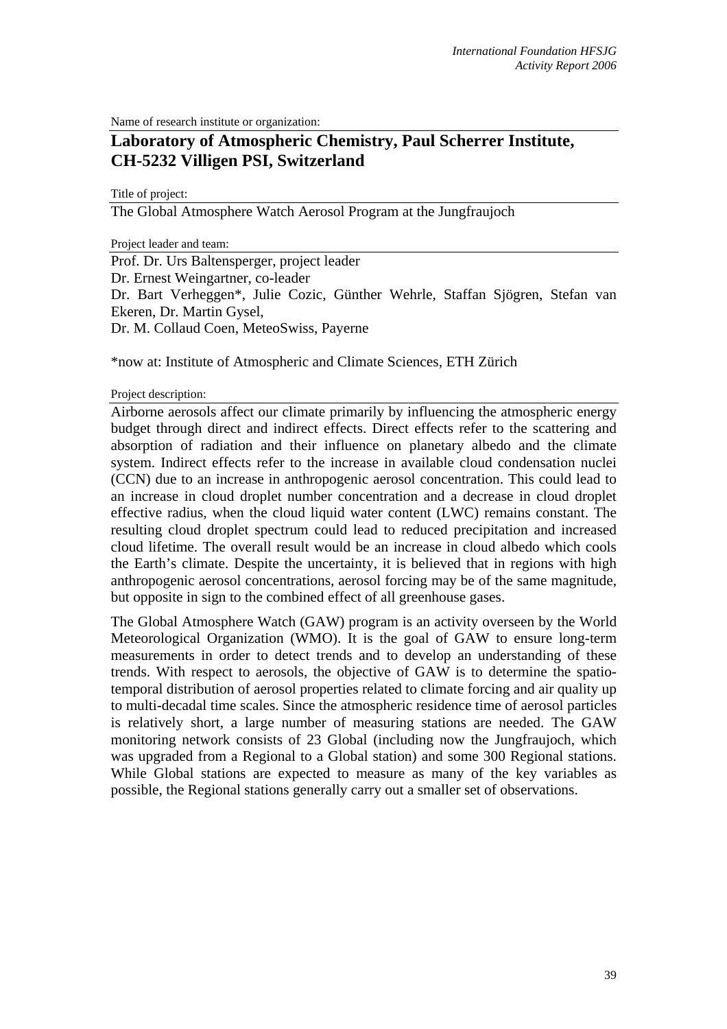Name of research institute or organization:

## **Laboratory of Atmospheric Chemistry, Paul Scherrer Institute, CH-5232 Villigen PSI, Switzerland**

Title of project:

The Global Atmosphere Watch Aerosol Program at the Jungfraujoch

Project leader and team:

Prof. Dr. Urs Baltensperger, project leader Dr. Ernest Weingartner, co-leader Dr. Bart Verheggen\*, Julie Cozic, Günther Wehrle, Staffan Sjögren, Stefan van Ekeren, Dr. Martin Gysel, Dr. M. Collaud Coen, MeteoSwiss, Payerne

\*now at: Institute of Atmospheric and Climate Sciences, ETH Zürich

## Project description:

Airborne aerosols affect our climate primarily by influencing the atmospheric energy budget through direct and indirect effects. Direct effects refer to the scattering and absorption of radiation and their influence on planetary albedo and the climate system. Indirect effects refer to the increase in available cloud condensation nuclei (CCN) due to an increase in anthropogenic aerosol concentration. This could lead to an increase in cloud droplet number concentration and a decrease in cloud droplet effective radius, when the cloud liquid water content (LWC) remains constant. The resulting cloud droplet spectrum could lead to reduced precipitation and increased cloud lifetime. The overall result would be an increase in cloud albedo which cools the Earth's climate. Despite the uncertainty, it is believed that in regions with high anthropogenic aerosol concentrations, aerosol forcing may be of the same magnitude, but opposite in sign to the combined effect of all greenhouse gases.

The Global Atmosphere Watch (GAW) program is an activity overseen by the World Meteorological Organization (WMO). It is the goal of GAW to ensure long-term measurements in order to detect trends and to develop an understanding of these trends. With respect to aerosols, the objective of GAW is to determine the spatiotemporal distribution of aerosol properties related to climate forcing and air quality up to multi-decadal time scales. Since the atmospheric residence time of aerosol particles is relatively short, a large number of measuring stations are needed. The GAW monitoring network consists of 23 Global (including now the Jungfraujoch, which was upgraded from a Regional to a Global station) and some 300 Regional stations. While Global stations are expected to measure as many of the key variables as possible, the Regional stations generally carry out a smaller set of observations.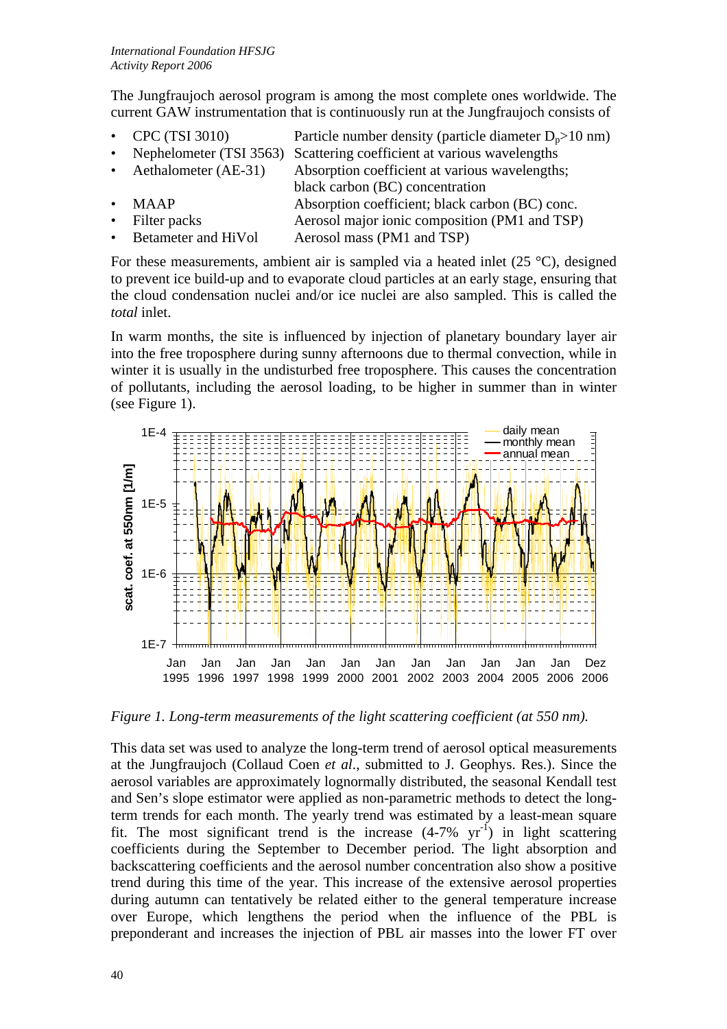The Jungfraujoch aerosol program is among the most complete ones worldwide. The current GAW instrumentation that is continuously run at the Jungfraujoch consists of

- CPC (TSI 3010) Particle number density (particle diameter  $D_p > 10$  nm)
- Nephelometer (TSI 3563) Scattering coefficient at various wavelengths
- Aethalometer (AE-31) Absorption coefficient at various wavelengths;
- black carbon (BC) concentration • MAAP Absorption coefficient; black carbon (BC) conc. Filter packs Aerosol major ionic composition (PM1 and TSP)
- Betameter and HiVol Aerosol mass (PM1 and TSP)

For these measurements, ambient air is sampled via a heated inlet  $(25 \degree C)$ , designed to prevent ice build-up and to evaporate cloud particles at an early stage, ensuring that the cloud condensation nuclei and/or ice nuclei are also sampled. This is called the *total* inlet.

In warm months, the site is influenced by injection of planetary boundary layer air into the free troposphere during sunny afternoons due to thermal convection, while in winter it is usually in the undisturbed free troposphere. This causes the concentration of pollutants, including the aerosol loading, to be higher in summer than in winter (see Figure 1).



*Figure 1. Long-term measurements of the light scattering coefficient (at 550 nm).* 

This data set was used to analyze the long-term trend of aerosol optical measurements at the Jungfraujoch (Collaud Coen *et al*., submitted to J. Geophys. Res.). Since the aerosol variables are approximately lognormally distributed, the seasonal Kendall test and Sen's slope estimator were applied as non-parametric methods to detect the longterm trends for each month. The yearly trend was estimated by a least-mean square fit. The most significant trend is the increase  $(4-7\% \text{ yr}^{-1})$  in light scattering coefficients during the September to December period. The light absorption and backscattering coefficients and the aerosol number concentration also show a positive trend during this time of the year. This increase of the extensive aerosol properties during autumn can tentatively be related either to the general temperature increase over Europe, which lengthens the period when the influence of the PBL is preponderant and increases the injection of PBL air masses into the lower FT over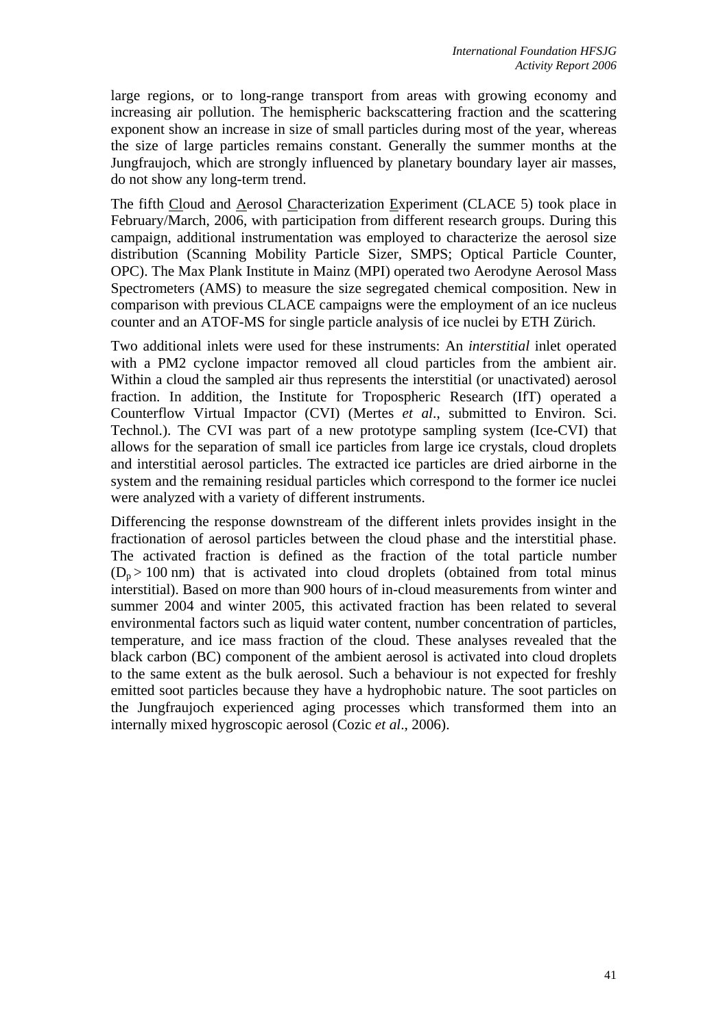large regions, or to long-range transport from areas with growing economy and increasing air pollution. The hemispheric backscattering fraction and the scattering exponent show an increase in size of small particles during most of the year, whereas the size of large particles remains constant. Generally the summer months at the Jungfraujoch, which are strongly influenced by planetary boundary layer air masses, do not show any long-term trend.

The fifth Cloud and Aerosol Characterization Experiment (CLACE 5) took place in February/March, 2006, with participation from different research groups. During this campaign, additional instrumentation was employed to characterize the aerosol size distribution (Scanning Mobility Particle Sizer, SMPS; Optical Particle Counter, OPC). The Max Plank Institute in Mainz (MPI) operated two Aerodyne Aerosol Mass Spectrometers (AMS) to measure the size segregated chemical composition. New in comparison with previous CLACE campaigns were the employment of an ice nucleus counter and an ATOF-MS for single particle analysis of ice nuclei by ETH Zürich.

Two additional inlets were used for these instruments: An *interstitial* inlet operated with a PM2 cyclone impactor removed all cloud particles from the ambient air. Within a cloud the sampled air thus represents the interstitial (or unactivated) aerosol fraction. In addition, the Institute for Tropospheric Research (IfT) operated a Counterflow Virtual Impactor (CVI) (Mertes *et al*., submitted to Environ. Sci. Technol.). The CVI was part of a new prototype sampling system (Ice-CVI) that allows for the separation of small ice particles from large ice crystals, cloud droplets and interstitial aerosol particles. The extracted ice particles are dried airborne in the system and the remaining residual particles which correspond to the former ice nuclei were analyzed with a variety of different instruments.

Differencing the response downstream of the different inlets provides insight in the fractionation of aerosol particles between the cloud phase and the interstitial phase. The activated fraction is defined as the fraction of the total particle number  $(D_n > 100 \text{ nm})$  that is activated into cloud droplets (obtained from total minus interstitial). Based on more than 900 hours of in-cloud measurements from winter and summer 2004 and winter 2005, this activated fraction has been related to several environmental factors such as liquid water content, number concentration of particles, temperature, and ice mass fraction of the cloud. These analyses revealed that the black carbon (BC) component of the ambient aerosol is activated into cloud droplets to the same extent as the bulk aerosol. Such a behaviour is not expected for freshly emitted soot particles because they have a hydrophobic nature. The soot particles on the Jungfraujoch experienced aging processes which transformed them into an internally mixed hygroscopic aerosol (Cozic *et al*., 2006).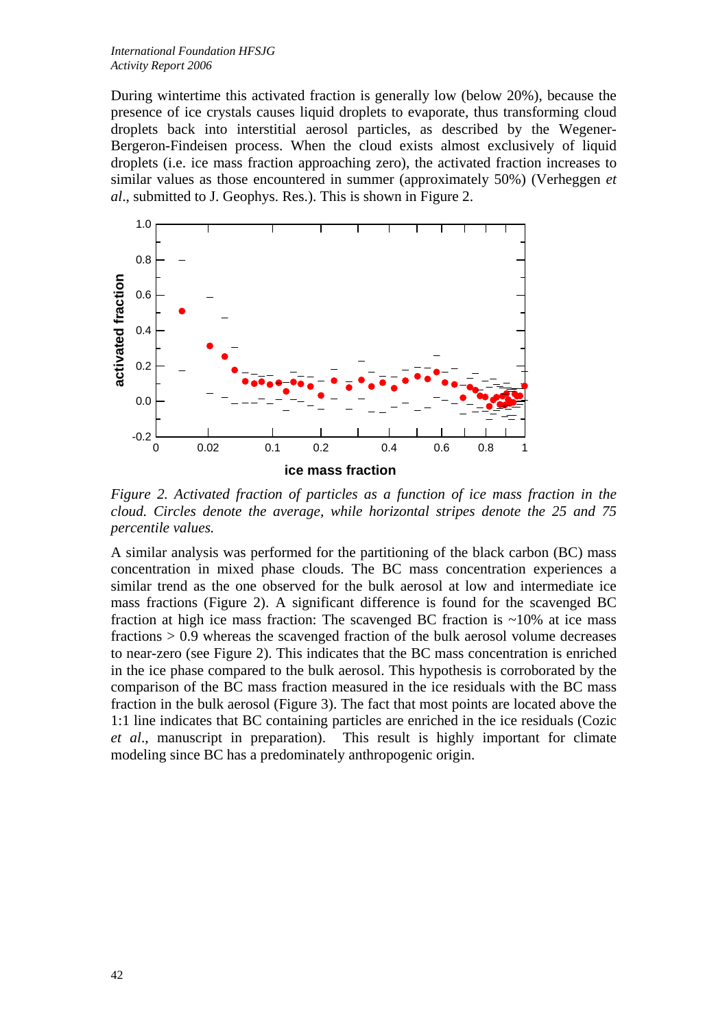During wintertime this activated fraction is generally low (below 20%), because the presence of ice crystals causes liquid droplets to evaporate, thus transforming cloud droplets back into interstitial aerosol particles, as described by the Wegener-Bergeron-Findeisen process. When the cloud exists almost exclusively of liquid droplets (i.e. ice mass fraction approaching zero), the activated fraction increases to similar values as those encountered in summer (approximately 50%) (Verheggen *et al*., submitted to J. Geophys. Res.). This is shown in Figure 2.



*Figure 2. Activated fraction of particles as a function of ice mass fraction in the cloud. Circles denote the average, while horizontal stripes denote the 25 and 75 percentile values.* 

A similar analysis was performed for the partitioning of the black carbon (BC) mass concentration in mixed phase clouds. The BC mass concentration experiences a similar trend as the one observed for the bulk aerosol at low and intermediate ice mass fractions (Figure 2). A significant difference is found for the scavenged BC fraction at high ice mass fraction: The scavenged BC fraction is  $\sim$ 10% at ice mass fractions > 0.9 whereas the scavenged fraction of the bulk aerosol volume decreases to near-zero (see Figure 2). This indicates that the BC mass concentration is enriched in the ice phase compared to the bulk aerosol. This hypothesis is corroborated by the comparison of the BC mass fraction measured in the ice residuals with the BC mass fraction in the bulk aerosol (Figure 3). The fact that most points are located above the 1:1 line indicates that BC containing particles are enriched in the ice residuals (Cozic *et al*., manuscript in preparation). This result is highly important for climate modeling since BC has a predominately anthropogenic origin.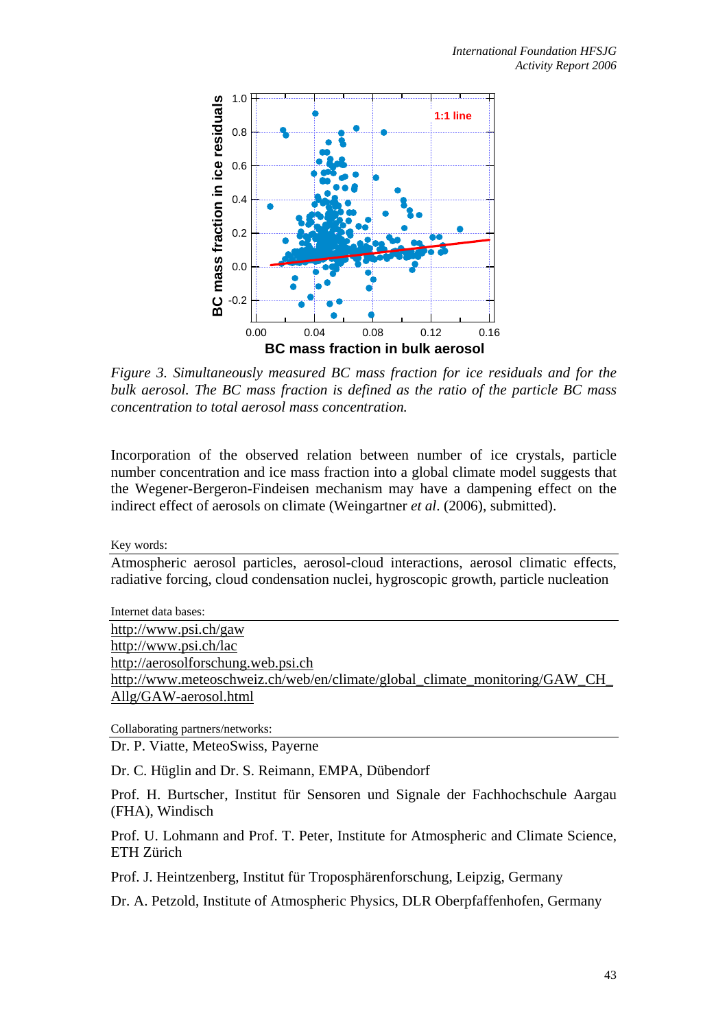

*Figure 3. Simultaneously measured BC mass fraction for ice residuals and for the bulk aerosol. The BC mass fraction is defined as the ratio of the particle BC mass concentration to total aerosol mass concentration.* 

Incorporation of the observed relation between number of ice crystals, particle number concentration and ice mass fraction into a global climate model suggests that the Wegener-Bergeron-Findeisen mechanism may have a dampening effect on the indirect effect of aerosols on climate (Weingartner *et al*. (2006), submitted).

Key words:

Atmospheric aerosol particles, aerosol-cloud interactions, aerosol climatic effects, radiative forcing, cloud condensation nuclei, hygroscopic growth, particle nucleation

Internet data bases: http://www.psi.ch/gaw http://www.psi.ch/lac http://aerosolforschung.web.psi.ch http://www.meteoschweiz.ch/web/en/climate/global\_climate\_monitoring/GAW\_CH\_ Allg/GAW-aerosol.html

Collaborating partners/networks:

Dr. P. Viatte, MeteoSwiss, Payerne

Dr. C. Hüglin and Dr. S. Reimann, EMPA, Dübendorf

Prof. H. Burtscher, Institut für Sensoren und Signale der Fachhochschule Aargau (FHA), Windisch

Prof. U. Lohmann and Prof. T. Peter, Institute for Atmospheric and Climate Science, ETH Zürich

Prof. J. Heintzenberg, Institut für Troposphärenforschung, Leipzig, Germany

Dr. A. Petzold, Institute of Atmospheric Physics, DLR Oberpfaffenhofen, Germany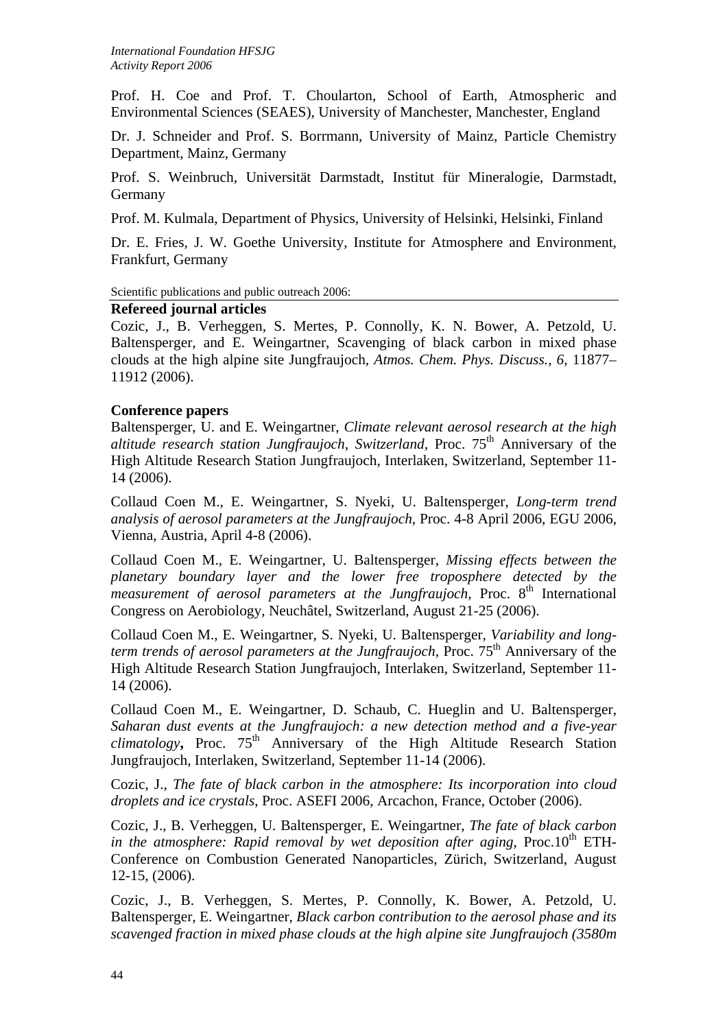Prof. H. Coe and Prof. T. Choularton, School of Earth, Atmospheric and Environmental Sciences (SEAES), University of Manchester, Manchester, England

Dr. J. Schneider and Prof. S. Borrmann, University of Mainz, Particle Chemistry Department, Mainz, Germany

Prof. S. Weinbruch, Universität Darmstadt, Institut für Mineralogie, Darmstadt, Germany

Prof. M. Kulmala, Department of Physics, University of Helsinki, Helsinki, Finland

Dr. E. Fries, J. W. Goethe University, Institute for Atmosphere and Environment, Frankfurt, Germany

Scientific publications and public outreach 2006:

## **Refereed journal articles**

Cozic, J., B. Verheggen, S. Mertes, P. Connolly, K. N. Bower, A. Petzold, U. Baltensperger, and E. Weingartner, Scavenging of black carbon in mixed phase clouds at the high alpine site Jungfraujoch, *Atmos. Chem. Phys. Discuss.*, *6*, 11877– 11912 (2006).

## **Conference papers**

Baltensperger, U. and E. Weingartner, *Climate relevant aerosol research at the high*  altitude research station Jungfraujoch, Switzerland, Proc. 75<sup>th</sup> Anniversary of the High Altitude Research Station Jungfraujoch, Interlaken, Switzerland, September 11- 14 (2006).

Collaud Coen M., E. Weingartner, S. Nyeki, U. Baltensperger, *Long-term trend analysis of aerosol parameters at the Jungfraujoch*, Proc. 4-8 April 2006, EGU 2006, Vienna, Austria, April 4-8 (2006).

Collaud Coen M., E. Weingartner, U. Baltensperger, *Missing effects between the planetary boundary layer and the lower free troposphere detected by the measurement of aerosol parameters at the Jungfraujoch*, Proc. 8<sup>th</sup> International Congress on Aerobiology, Neuchâtel, Switzerland, August 21-25 (2006).

Collaud Coen M., E. Weingartner, S. Nyeki, U. Baltensperger, *Variability and longterm trends of aerosol parameters at the Jungfraujoch*, Proc. 75<sup>th</sup> Anniversary of the High Altitude Research Station Jungfraujoch, Interlaken, Switzerland, September 11- 14 (2006).

Collaud Coen M., E. Weingartner, D. Schaub, C. Hueglin and U. Baltensperger, *Saharan dust events at the Jungfraujoch: a new detection method and a five-year*   $climator$ , Proc.  $75<sup>th</sup>$  Anniversary of the High Altitude Research Station Jungfraujoch, Interlaken, Switzerland, September 11-14 (2006).

Cozic, J., *The fate of black carbon in the atmosphere: Its incorporation into cloud droplets and ice crystals*, Proc. ASEFI 2006, Arcachon, France, October (2006).

Cozic, J., B. Verheggen, U. Baltensperger, E. Weingartner, *The fate of black carbon in the atmosphere: Rapid removal by wet deposition after aging, Proc.*10<sup>th</sup> ETH-Conference on Combustion Generated Nanoparticles, Zürich, Switzerland, August 12-15, (2006).

Cozic, J., B. Verheggen, S. Mertes, P. Connolly, K. Bower, A. Petzold, U. Baltensperger, E. Weingartner, *Black carbon contribution to the aerosol phase and its scavenged fraction in mixed phase clouds at the high alpine site Jungfraujoch (3580m*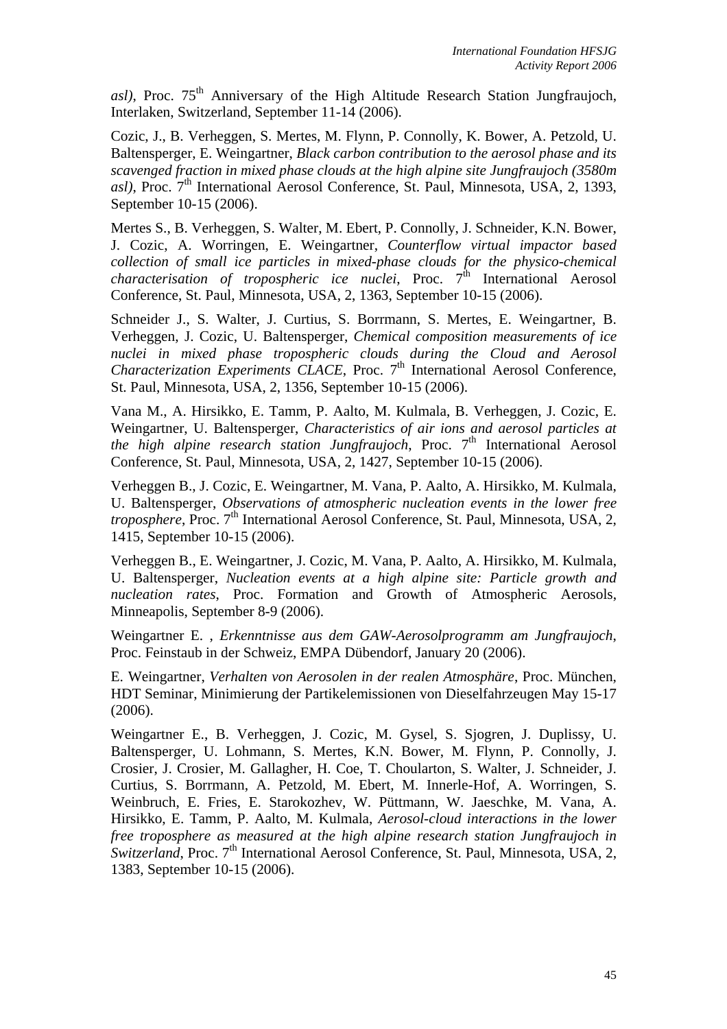asl), Proc. 75<sup>th</sup> Anniversary of the High Altitude Research Station Jungfraujoch, Interlaken, Switzerland, September 11-14 (2006).

Cozic, J., B. Verheggen, S. Mertes, M. Flynn, P. Connolly, K. Bower, A. Petzold, U. Baltensperger, E. Weingartner, *Black carbon contribution to the aerosol phase and its scavenged fraction in mixed phase clouds at the high alpine site Jungfraujoch (3580m asl*), Proc. 7<sup>th</sup> International Aerosol Conference, St. Paul, Minnesota, USA, 2, 1393, September 10-15 (2006).

Mertes S., B. Verheggen, S. Walter, M. Ebert, P. Connolly, J. Schneider, K.N. Bower, J. Cozic, A. Worringen, E. Weingartner, *Counterflow virtual impactor based collection of small ice particles in mixed-phase clouds for the physico-chemical characterisation of tropospheric ice nuclei*, Proc. 7<sup>th</sup> International Aerosol Conference, St. Paul, Minnesota, USA, 2, 1363, September 10-15 (2006).

Schneider J., S. Walter, J. Curtius, S. Borrmann, S. Mertes, E. Weingartner, B. Verheggen, J. Cozic, U. Baltensperger, *Chemical composition measurements of ice nuclei in mixed phase tropospheric clouds during the Cloud and Aerosol Characterization Experiments CLACE*, Proc. 7<sup>th</sup> International Aerosol Conference, St. Paul, Minnesota, USA, 2, 1356, September 10-15 (2006).

Vana M., A. Hirsikko, E. Tamm, P. Aalto, M. Kulmala, B. Verheggen, J. Cozic, E. Weingartner, U. Baltensperger, *Characteristics of air ions and aerosol particles at the high alpine research station Jungfraujoch*, Proc. 7<sup>th</sup> International Aerosol Conference, St. Paul, Minnesota, USA, 2, 1427, September 10-15 (2006).

Verheggen B., J. Cozic, E. Weingartner, M. Vana, P. Aalto, A. Hirsikko, M. Kulmala, U. Baltensperger, *Observations of atmospheric nucleation events in the lower free troposphere*, Proc. 7<sup>th</sup> International Aerosol Conference, St. Paul, Minnesota, USA, 2, 1415, September 10-15 (2006).

Verheggen B., E. Weingartner, J. Cozic, M. Vana, P. Aalto, A. Hirsikko, M. Kulmala, U. Baltensperger, *Nucleation events at a high alpine site: Particle growth and nucleation rates*, Proc. Formation and Growth of Atmospheric Aerosols, Minneapolis, September 8-9 (2006).

Weingartner E. , *Erkenntnisse aus dem GAW-Aerosolprogramm am Jungfraujoch*, Proc. Feinstaub in der Schweiz, EMPA Dübendorf, January 20 (2006).

E. Weingartner, *Verhalten von Aerosolen in der realen Atmosphäre*, Proc. München, HDT Seminar, Minimierung der Partikelemissionen von Dieselfahrzeugen May 15-17 (2006).

Weingartner E., B. Verheggen, J. Cozic, M. Gysel, S. Sjogren, J. Duplissy, U. Baltensperger, U. Lohmann, S. Mertes, K.N. Bower, M. Flynn, P. Connolly, J. Crosier, J. Crosier, M. Gallagher, H. Coe, T. Choularton, S. Walter, J. Schneider, J. Curtius, S. Borrmann, A. Petzold, M. Ebert, M. Innerle-Hof, A. Worringen, S. Weinbruch, E. Fries, E. Starokozhev, W. Püttmann, W. Jaeschke, M. Vana, A. Hirsikko, E. Tamm, P. Aalto, M. Kulmala, *Aerosol-cloud interactions in the lower free troposphere as measured at the high alpine research station Jungfraujoch in Switzerland*, Proc. 7<sup>th</sup> International Aerosol Conference, St. Paul, Minnesota, USA, 2, 1383, September 10-15 (2006).